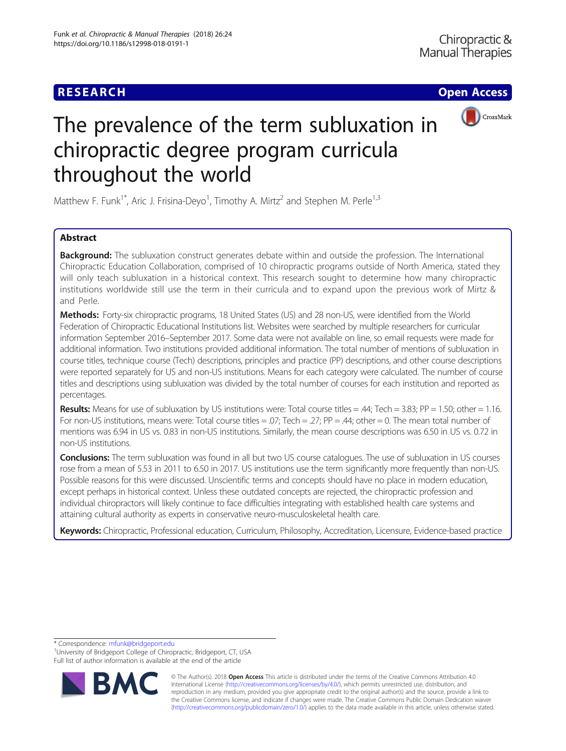# **RESEARCH CHE Open Access**



# The prevalence of the term subluxation in chiropractic degree program curricula throughout the world

Matthew F. Funk<sup>1\*</sup>, Aric J. Frisina-Deyo<sup>1</sup>, Timothy A. Mirtz<sup>2</sup> and Stephen M. Perle<sup>1,3</sup>

## Abstract

Background: The subluxation construct generates debate within and outside the profession. The International Chiropractic Education Collaboration, comprised of 10 chiropractic programs outside of North America, stated they will only teach subluxation in a historical context. This research sought to determine how many chiropractic institutions worldwide still use the term in their curricula and to expand upon the previous work of Mirtz & and Perle.

Methods: Forty-six chiropractic programs, 18 United States (US) and 28 non-US, were identified from the World Federation of Chiropractic Educational Institutions list. Websites were searched by multiple researchers for curricular information September 2016–September 2017. Some data were not available on line, so email requests were made for additional information. Two institutions provided additional information. The total number of mentions of subluxation in course titles, technique course (Tech) descriptions, principles and practice (PP) descriptions, and other course descriptions were reported separately for US and non-US institutions. Means for each category were calculated. The number of course titles and descriptions using subluxation was divided by the total number of courses for each institution and reported as percentages.

Results: Means for use of subluxation by US institutions were: Total course titles  $= 44$ ; Tech  $= 3.83$ ; PP  $= 1.50$ ; other  $= 1.16$ . For non-US institutions, means were: Total course titles = .07; Tech = .27; PP = .44; other = 0. The mean total number of mentions was 6.94 in US vs. 0.83 in non-US institutions. Similarly, the mean course descriptions was 6.50 in US vs. 0.72 in non-US institutions.

**Conclusions:** The term subluxation was found in all but two US course catalogues. The use of subluxation in US courses rose from a mean of 5.53 in 2011 to 6.50 in 2017. US institutions use the term significantly more frequently than non-US. Possible reasons for this were discussed. Unscientific terms and concepts should have no place in modern education, except perhaps in historical context. Unless these outdated concepts are rejected, the chiropractic profession and individual chiropractors will likely continue to face difficulties integrating with established health care systems and attaining cultural authority as experts in conservative neuro-musculoskeletal health care.

Keywords: Chiropractic, Professional education, Curriculum, Philosophy, Accreditation, Licensure, Evidence-based practice

\* Correspondence: [mfunk@bridgeport.edu](mailto:mfunk@bridgeport.edu) <sup>1</sup>

<sup>1</sup>University of Bridgeport College of Chiropractic, Bridgeport, CT, USA Full list of author information is available at the end of the article



© The Author(s). 2018 Open Access This article is distributed under the terms of the Creative Commons Attribution 4.0 International License [\(http://creativecommons.org/licenses/by/4.0/](http://creativecommons.org/licenses/by/4.0/)), which permits unrestricted use, distribution, and reproduction in any medium, provided you give appropriate credit to the original author(s) and the source, provide a link to the Creative Commons license, and indicate if changes were made. The Creative Commons Public Domain Dedication waiver [\(http://creativecommons.org/publicdomain/zero/1.0/](http://creativecommons.org/publicdomain/zero/1.0/)) applies to the data made available in this article, unless otherwise stated.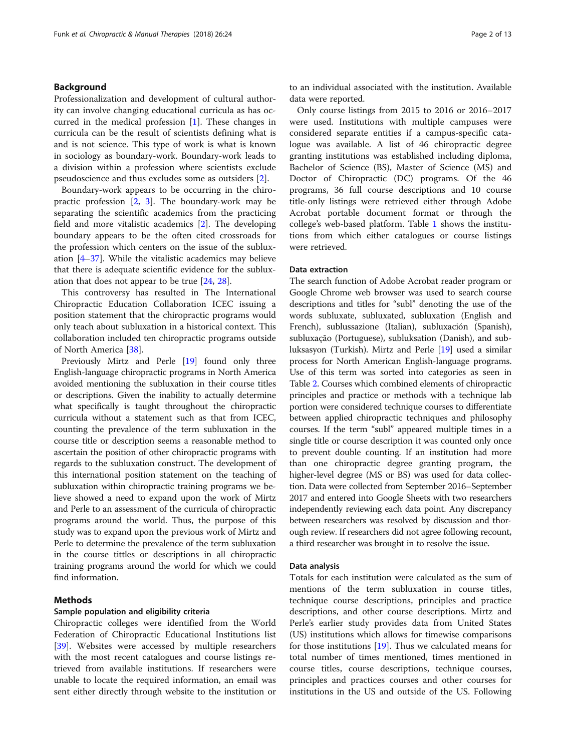#### Background

Professionalization and development of cultural authority can involve changing educational curricula as has occurred in the medical profession [[1](#page-10-0)]. These changes in curricula can be the result of scientists defining what is and is not science. This type of work is what is known in sociology as boundary-work. Boundary-work leads to a division within a profession where scientists exclude pseudoscience and thus excludes some as outsiders [\[2](#page-10-0)].

Boundary-work appears to be occurring in the chiropractic profession  $[2, 3]$  $[2, 3]$  $[2, 3]$  $[2, 3]$ . The boundary-work may be separating the scientific academics from the practicing field and more vitalistic academics [\[2](#page-10-0)]. The developing boundary appears to be the often cited crossroads for the profession which centers on the issue of the subluxation [\[4](#page-10-0)–[37\]](#page-11-0). While the vitalistic academics may believe that there is adequate scientific evidence for the subluxation that does not appear to be true [[24,](#page-11-0) [28\]](#page-11-0).

This controversy has resulted in The International Chiropractic Education Collaboration ICEC issuing a position statement that the chiropractic programs would only teach about subluxation in a historical context. This collaboration included ten chiropractic programs outside of North America [[38\]](#page-11-0).

Previously Mirtz and Perle [\[19\]](#page-10-0) found only three English-language chiropractic programs in North America avoided mentioning the subluxation in their course titles or descriptions. Given the inability to actually determine what specifically is taught throughout the chiropractic curricula without a statement such as that from ICEC, counting the prevalence of the term subluxation in the course title or description seems a reasonable method to ascertain the position of other chiropractic programs with regards to the subluxation construct. The development of this international position statement on the teaching of subluxation within chiropractic training programs we believe showed a need to expand upon the work of Mirtz and Perle to an assessment of the curricula of chiropractic programs around the world. Thus, the purpose of this study was to expand upon the previous work of Mirtz and Perle to determine the prevalence of the term subluxation in the course tittles or descriptions in all chiropractic training programs around the world for which we could find information.

#### Methods

#### Sample population and eligibility criteria

Chiropractic colleges were identified from the World Federation of Chiropractic Educational Institutions list [[39\]](#page-11-0). Websites were accessed by multiple researchers with the most recent catalogues and course listings retrieved from available institutions. If researchers were unable to locate the required information, an email was sent either directly through website to the institution or

to an individual associated with the institution. Available data were reported.

Only course listings from 2015 to 2016 or 2016–2017 were used. Institutions with multiple campuses were considered separate entities if a campus-specific catalogue was available. A list of 46 chiropractic degree granting institutions was established including diploma, Bachelor of Science (BS), Master of Science (MS) and Doctor of Chiropractic (DC) programs. Of the 46 programs, 36 full course descriptions and 10 course title-only listings were retrieved either through Adobe Acrobat portable document format or through the college's web-based platform. Table [1](#page-2-0) shows the institutions from which either catalogues or course listings were retrieved.

#### Data extraction

The search function of Adobe Acrobat reader program or Google Chrome web browser was used to search course descriptions and titles for "subl" denoting the use of the words subluxate, subluxated, subluxation (English and French), sublussazione (Italian), subluxación (Spanish), subluxação (Portuguese), subluksation (Danish), and subluksasyon (Turkish). Mirtz and Perle [\[19\]](#page-10-0) used a similar process for North American English-language programs. Use of this term was sorted into categories as seen in Table [2.](#page-2-0) Courses which combined elements of chiropractic principles and practice or methods with a technique lab portion were considered technique courses to differentiate between applied chiropractic techniques and philosophy courses. If the term "subl" appeared multiple times in a single title or course description it was counted only once to prevent double counting. If an institution had more than one chiropractic degree granting program, the higher-level degree (MS or BS) was used for data collection. Data were collected from September 2016–September 2017 and entered into Google Sheets with two researchers independently reviewing each data point. Any discrepancy between researchers was resolved by discussion and thorough review. If researchers did not agree following recount, a third researcher was brought in to resolve the issue.

#### Data analysis

Totals for each institution were calculated as the sum of mentions of the term subluxation in course titles, technique course descriptions, principles and practice descriptions, and other course descriptions. Mirtz and Perle's earlier study provides data from United States (US) institutions which allows for timewise comparisons for those institutions [[19\]](#page-10-0). Thus we calculated means for total number of times mentioned, times mentioned in course titles, course descriptions, technique courses, principles and practices courses and other courses for institutions in the US and outside of the US. Following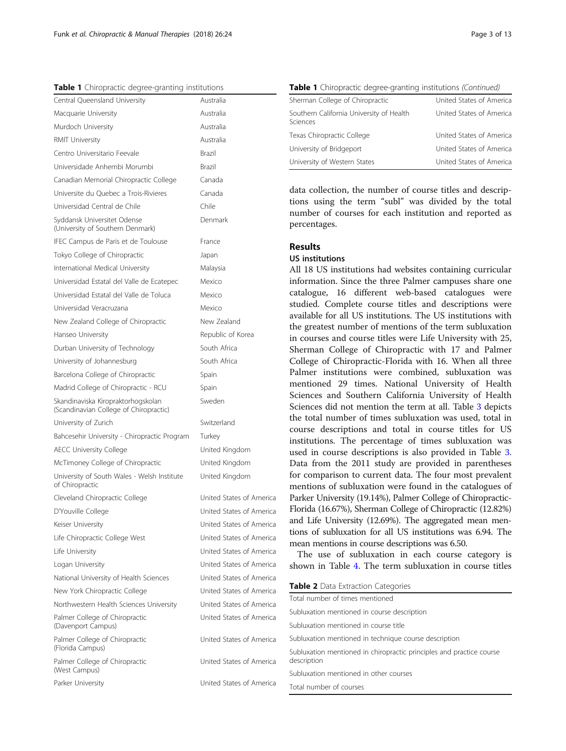<span id="page-2-0"></span>Table 1 Chiropractic degree-granting institutions

| Central Queensland University                                                | Australia                |
|------------------------------------------------------------------------------|--------------------------|
| Macquarie University                                                         | Australia                |
| Murdoch University                                                           | Australia                |
| <b>RMIT University</b>                                                       | Australia                |
| Centro Universitario Feevale                                                 | <b>Brazil</b>            |
| Universidade Anhembi Morumbi                                                 | <b>Brazil</b>            |
| Canadian Memorial Chiropractic College                                       | Canada                   |
| Universite du Quebec a Trois-Rivieres                                        | Canada                   |
| Universidad Central de Chile                                                 | Chile                    |
| Syddansk Universitet Odense<br>(University of Southern Denmark)              | Denmark                  |
| IFEC Campus de Paris et de Toulouse                                          | France                   |
| Tokyo College of Chiropractic                                                | Japan                    |
| International Medical University                                             | Malaysia                 |
| Universidad Estatal del Valle de Ecatepec                                    | Mexico                   |
| Universidad Estatal del Valle de Toluca                                      | Mexico                   |
| Universidad Veracruzana                                                      | Mexico                   |
| New Zealand College of Chiropractic                                          | New Zealand              |
| Hanseo University                                                            | Republic of Korea        |
| Durban University of Technology                                              | South Africa             |
| University of Johannesburg                                                   | South Africa             |
| Barcelona College of Chiropractic                                            | Spain                    |
| Madrid College of Chiropractic - RCU                                         | Spain                    |
| Skandinaviska Kiropraktorhogskolan<br>(Scandinavian College of Chiropractic) | Sweden                   |
| University of Zurich                                                         | Switzerland              |
| Bahcesehir University - Chiropractic Program                                 | Turkey                   |
| <b>AECC University College</b>                                               | United Kingdom           |
| McTimoney College of Chiropractic                                            | United Kingdom           |
| University of South Wales - Welsh Institute<br>of Chiropractic               | United Kingdom           |
| Cleveland Chiropractic College                                               | United States of America |
| D'Youville College                                                           | United States of America |
| Keiser University                                                            | United States of America |
| Life Chiropractic College West                                               | United States of America |
| Life University                                                              | United States of America |
| Logan University                                                             | United States of America |
| National University of Health Sciences                                       | United States of America |
| New York Chiropractic College                                                | United States of America |
| Northwestern Health Sciences University                                      | United States of America |
| Palmer College of Chiropractic<br>(Davenport Campus)                         | United States of America |
| Palmer College of Chiropractic<br>(Florida Campus)                           | United States of America |
| Palmer College of Chiropractic<br>(West Campus)                              | United States of America |
| Parker University                                                            | United States of America |

|  | Table 1 Chiropractic degree-granting institutions (Continued) |  |
|--|---------------------------------------------------------------|--|
|  |                                                               |  |

| Sherman College of Chiropractic                      | United States of America |
|------------------------------------------------------|--------------------------|
| Southern California University of Health<br>Sciences | United States of America |
| Texas Chiropractic College                           | United States of America |
| University of Bridgeport                             | United States of America |
| University of Western States                         | United States of America |
|                                                      |                          |

data collection, the number of course titles and descriptions using the term "subl" was divided by the total number of courses for each institution and reported as percentages.

#### Results

#### US institutions

All 18 US institutions had websites containing curricular information. Since the three Palmer campuses share one catalogue, 16 different web-based catalogues were studied. Complete course titles and descriptions were available for all US institutions. The US institutions with the greatest number of mentions of the term subluxation in courses and course titles were Life University with 25, Sherman College of Chiropractic with 17 and Palmer College of Chiropractic-Florida with 16. When all three Palmer institutions were combined, subluxation was mentioned 29 times. National University of Health Sciences and Southern California University of Health Sciences did not mention the term at all. Table [3](#page-3-0) depicts the total number of times subluxation was used, total in course descriptions and total in course titles for US institutions. The percentage of times subluxation was used in course descriptions is also provided in Table [3](#page-3-0). Data from the 2011 study are provided in parentheses for comparison to current data. The four most prevalent mentions of subluxation were found in the catalogues of Parker University (19.14%), Palmer College of Chiropractic-Florida (16.67%), Sherman College of Chiropractic (12.82%) and Life University (12.69%). The aggregated mean mentions of subluxation for all US institutions was 6.94. The mean mentions in course descriptions was 6.50.

The use of subluxation in each course category is shown in Table [4](#page-3-0). The term subluxation in course titles

|  |  |  | <b>Table 2</b> Data Extraction Categories |  |  |
|--|--|--|-------------------------------------------|--|--|
|--|--|--|-------------------------------------------|--|--|

| Total number of times mentioned                                                     |
|-------------------------------------------------------------------------------------|
| Subluxation mentioned in course description                                         |
| Subluxation mentioned in course title                                               |
| Subluxation mentioned in technique course description                               |
| Subluxation mentioned in chiropractic principles and practice course<br>description |
| Subluxation mentioned in other courses                                              |
| Total number of courses                                                             |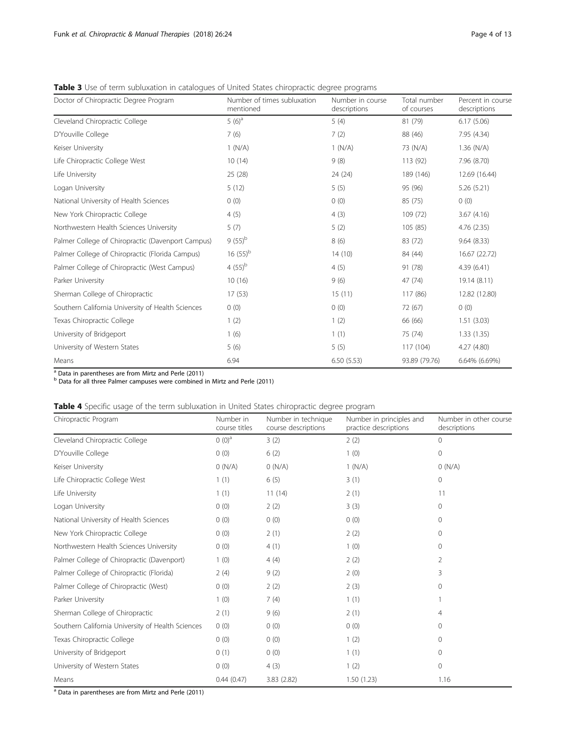<span id="page-3-0"></span>

| <b>Table 3</b> Use of term subluxation in catalogues of United States chiropractic degree programs |  |  |
|----------------------------------------------------------------------------------------------------|--|--|
|                                                                                                    |  |  |

| Doctor of Chiropractic Degree Program             | Number of times subluxation<br>mentioned | Number in course<br>descriptions | Total number<br>of courses | Percent in course<br>descriptions |
|---------------------------------------------------|------------------------------------------|----------------------------------|----------------------------|-----------------------------------|
| Cleveland Chiropractic College                    | $5(6)^a$                                 | 5(4)                             | 81 (79)                    | 6.17(5.06)                        |
| D'Youville College                                | 7(6)                                     | 7(2)                             | 88 (46)                    | 7.95 (4.34)                       |
| Keiser University                                 | 1(N/A)                                   | 1(N/A)                           | 73 (N/A)                   | $1.36$ (N/A)                      |
| Life Chiropractic College West                    | 10(14)                                   | 9(8)                             | 113 (92)                   | 7.96 (8.70)                       |
| Life University                                   | 25 (28)                                  | 24 (24)                          | 189 (146)                  | 12.69 (16.44)                     |
| Logan University                                  | 5(12)                                    | 5(5)                             | 95 (96)                    | 5.26(5.21)                        |
| National University of Health Sciences            | 0(0)                                     | 0(0)                             | 85 (75)                    | 0(0)                              |
| New York Chiropractic College                     | 4(5)                                     | 4(3)                             | 109 (72)                   | 3.67(4.16)                        |
| Northwestern Health Sciences University           | 5(7)                                     | 5(2)                             | 105 (85)                   | 4.76(2.35)                        |
| Palmer College of Chiropractic (Davenport Campus) | $9(55)^{b}$                              | 8(6)                             | 83 (72)                    | 9.64(8.33)                        |
| Palmer College of Chiropractic (Florida Campus)   | 16 $(55)^{b}$                            | 14(10)                           | 84 (44)                    | 16.67 (22.72)                     |
| Palmer College of Chiropractic (West Campus)      | 4 $(55)^{b}$                             | 4(5)                             | 91 (78)                    | 4.39(6.41)                        |
| Parker University                                 | 10(16)                                   | 9(6)                             | 47 (74)                    | 19.14 (8.11)                      |
| Sherman College of Chiropractic                   | 17(53)                                   | 15(11)                           | 117 (86)                   | 12.82 (12.80)                     |
| Southern California University of Health Sciences | 0(0)                                     | 0(0)                             | 72 (67)                    | 0(0)                              |
| Texas Chiropractic College                        | 1(2)                                     | 1(2)                             | 66 (66)                    | 1.51(3.03)                        |
| University of Bridgeport                          | 1(6)                                     | 1(1)                             | 75 (74)                    | 1.33(1.35)                        |
| University of Western States                      | 5(6)                                     | 5(5)                             | 117 (104)                  | 4.27(4.80)                        |
| Means                                             | 6.94                                     | 6.50(5.53)                       | 93.89 (79.76)              | 6.64% (6.69%)                     |

<sup>a</sup> Data in parentheses are from Mirtz and Perle (2011)

<sup>b</sup> Data for all three Palmer campuses were combined in Mirtz and Perle (2011)

|  |  |  |  | Table 4 Specific usage of the term subluxation in United States chiropractic degree program |  |  |  |  |  |
|--|--|--|--|---------------------------------------------------------------------------------------------|--|--|--|--|--|
|--|--|--|--|---------------------------------------------------------------------------------------------|--|--|--|--|--|

| Chiropractic Program                              | Number in<br>course titles | Number in technique<br>course descriptions | Number in principles and<br>practice descriptions | Number in other course<br>descriptions |  |
|---------------------------------------------------|----------------------------|--------------------------------------------|---------------------------------------------------|----------------------------------------|--|
| Cleveland Chiropractic College                    | $(0)(0)^a$                 | 3(2)                                       | 2(2)                                              | 0                                      |  |
| D'Youville College                                | 0(0)                       | 6(2)                                       | 1(0)                                              | 0                                      |  |
| Keiser University                                 | O(N/A)                     | O(N/A)                                     | 1(N/A)                                            | O(N/A)                                 |  |
| Life Chiropractic College West                    | 1(1)                       | 6(5)                                       | 3(1)                                              | $\Omega$                               |  |
| Life University                                   | 1(1)                       | 11(14)                                     | 2(1)                                              | 11                                     |  |
| Logan University                                  | 0(0)                       | 2(2)                                       | 3(3)                                              | 0                                      |  |
| National University of Health Sciences            | 0(0)                       | 0(0)                                       | 0(0)                                              | 0                                      |  |
| New York Chiropractic College                     | 0(0)                       | 2(1)                                       | 2(2)                                              | 0                                      |  |
| Northwestern Health Sciences University           | 0(0)                       | 4(1)                                       | 1(0)                                              | 0                                      |  |
| Palmer College of Chiropractic (Davenport)        | 1(0)                       | 4(4)                                       | 2(2)                                              | 2                                      |  |
| Palmer College of Chiropractic (Florida)          | 2(4)                       | 9(2)                                       | 2(0)                                              | 3                                      |  |
| Palmer College of Chiropractic (West)             | 0(0)                       | 2(2)                                       | 2(3)                                              | 0                                      |  |
| Parker University                                 | 1(0)                       | 7(4)                                       | 1(1)                                              |                                        |  |
| Sherman College of Chiropractic                   | 2(1)                       | 9(6)                                       | 2(1)                                              | 4                                      |  |
| Southern California University of Health Sciences | 0(0)                       | 0(0)                                       | 0(0)                                              | 0                                      |  |
| Texas Chiropractic College                        | 0(0)                       | 0(0)                                       | 1(2)                                              | 0                                      |  |
| University of Bridgeport                          | 0(1)                       | 0(0)                                       | 1(1)                                              | 0                                      |  |
| University of Western States                      | 0(0)                       | 4(3)                                       | 1(2)                                              | $\Omega$                               |  |
| Means                                             | 0.44(0.47)                 | 3.83(2.82)                                 | 1.50(1.23)                                        | 1.16                                   |  |

<sup>a</sup> Data in parentheses are from Mirtz and Perle (2011)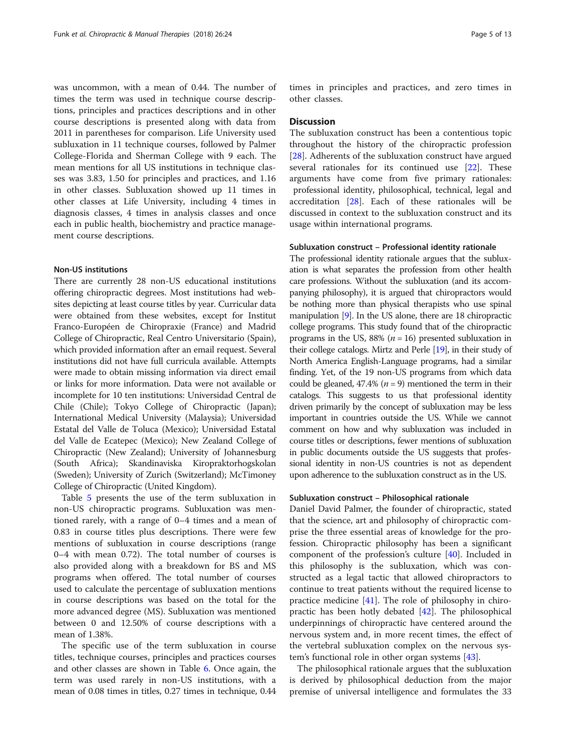was uncommon, with a mean of 0.44. The number of times the term was used in technique course descriptions, principles and practices descriptions and in other course descriptions is presented along with data from 2011 in parentheses for comparison. Life University used subluxation in 11 technique courses, followed by Palmer College-Florida and Sherman College with 9 each. The mean mentions for all US institutions in technique classes was 3.83, 1.50 for principles and practices, and 1.16 in other classes. Subluxation showed up 11 times in other classes at Life University, including 4 times in diagnosis classes, 4 times in analysis classes and once each in public health, biochemistry and practice management course descriptions.

#### Non-US institutions

There are currently 28 non-US educational institutions offering chiropractic degrees. Most institutions had websites depicting at least course titles by year. Curricular data were obtained from these websites, except for Institut Franco-Européen de Chiropraxie (France) and Madrid College of Chiropractic, Real Centro Universitario (Spain), which provided information after an email request. Several institutions did not have full curricula available. Attempts were made to obtain missing information via direct email or links for more information. Data were not available or incomplete for 10 ten institutions: Universidad Central de Chile (Chile); Tokyo College of Chiropractic (Japan); International Medical University (Malaysia); Universidad Estatal del Valle de Toluca (Mexico); Universidad Estatal del Valle de Ecatepec (Mexico); New Zealand College of Chiropractic (New Zealand); University of Johannesburg (South Africa); Skandinaviska Kiropraktorhogskolan (Sweden); University of Zurich (Switzerland); McTimoney College of Chiropractic (United Kingdom).

Table [5](#page-5-0) presents the use of the term subluxation in non-US chiropractic programs. Subluxation was mentioned rarely, with a range of 0–4 times and a mean of 0.83 in course titles plus descriptions. There were few mentions of subluxation in course descriptions (range 0–4 with mean 0.72). The total number of courses is also provided along with a breakdown for BS and MS programs when offered. The total number of courses used to calculate the percentage of subluxation mentions in course descriptions was based on the total for the more advanced degree (MS). Subluxation was mentioned between 0 and 12.50% of course descriptions with a mean of 1.38%.

The specific use of the term subluxation in course titles, technique courses, principles and practices courses and other classes are shown in Table [6](#page-6-0). Once again, the term was used rarely in non-US institutions, with a mean of 0.08 times in titles, 0.27 times in technique, 0.44

times in principles and practices, and zero times in other classes.

#### **Discussion**

The subluxation construct has been a contentious topic throughout the history of the chiropractic profession [[28\]](#page-11-0). Adherents of the subluxation construct have argued several rationales for its continued use [\[22](#page-11-0)]. These arguments have come from five primary rationales: professional identity, philosophical, technical, legal and accreditation [[28\]](#page-11-0). Each of these rationales will be discussed in context to the subluxation construct and its usage within international programs.

#### Subluxation construct – Professional identity rationale

The professional identity rationale argues that the subluxation is what separates the profession from other health care professions. Without the subluxation (and its accompanying philosophy), it is argued that chiropractors would be nothing more than physical therapists who use spinal manipulation [[9](#page-10-0)]. In the US alone, there are 18 chiropractic college programs. This study found that of the chiropractic programs in the US, 88% ( $n = 16$ ) presented subluxation in their college catalogs. Mirtz and Perle [[19\]](#page-10-0), in their study of North America English-Language programs, had a similar finding. Yet, of the 19 non-US programs from which data could be gleaned,  $47.4\%$  ( $n = 9$ ) mentioned the term in their catalogs. This suggests to us that professional identity driven primarily by the concept of subluxation may be less important in countries outside the US. While we cannot comment on how and why subluxation was included in course titles or descriptions, fewer mentions of subluxation in public documents outside the US suggests that professional identity in non-US countries is not as dependent upon adherence to the subluxation construct as in the US.

#### Subluxation construct – Philosophical rationale

Daniel David Palmer, the founder of chiropractic, stated that the science, art and philosophy of chiropractic comprise the three essential areas of knowledge for the profession. Chiropractic philosophy has been a significant component of the profession's culture [[40](#page-11-0)]. Included in this philosophy is the subluxation, which was constructed as a legal tactic that allowed chiropractors to continue to treat patients without the required license to practice medicine [\[41](#page-11-0)]. The role of philosophy in chiropractic has been hotly debated [\[42\]](#page-11-0). The philosophical underpinnings of chiropractic have centered around the nervous system and, in more recent times, the effect of the vertebral subluxation complex on the nervous system's functional role in other organ systems [[43\]](#page-11-0).

The philosophical rationale argues that the subluxation is derived by philosophical deduction from the major premise of universal intelligence and formulates the 33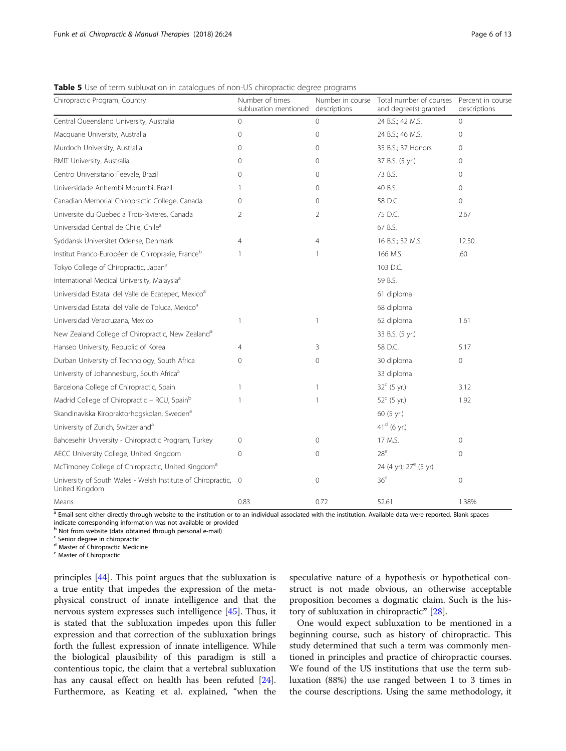| Chiropractic Program, Country                                                    | Number of times<br>subluxation mentioned | Number in course<br>descriptions | Total number of courses<br>and degree(s) granted | Percent in course<br>descriptions |
|----------------------------------------------------------------------------------|------------------------------------------|----------------------------------|--------------------------------------------------|-----------------------------------|
| Central Queensland University, Australia                                         | $\Omega$                                 | 0                                | 24 B.S.; 42 M.S.                                 | $\Omega$                          |
| Macquarie University, Australia                                                  | $\mathbf{0}$                             | 0                                | 24 B.S.; 46 M.S.                                 | $\Omega$                          |
| Murdoch University, Australia                                                    | $\mathbf{0}$                             | 0                                | 35 B.S.; 37 Honors                               | $\Omega$                          |
| RMIT University, Australia                                                       | $\mathbf{0}$                             | 0                                | 37 B.S. (5 yr.)                                  | 0                                 |
| Centro Universitario Feevale, Brazil                                             | $\circ$                                  | 0                                | 73 B.S.                                          | 0                                 |
| Universidade Anhembi Morumbi, Brazil                                             |                                          | 0                                | 40 B.S.                                          | 0                                 |
| Canadian Memorial Chiropractic College, Canada                                   | $\Omega$                                 | $\Omega$                         | 58 D.C.                                          | $\Omega$                          |
| Universite du Quebec a Trois-Rivieres, Canada                                    | 2                                        | 2                                | 75 D.C.                                          | 2.67                              |
| Universidad Central de Chile, Chile <sup>a</sup>                                 |                                          |                                  | 67 B.S.                                          |                                   |
| Syddansk Universitet Odense, Denmark                                             | $\overline{4}$                           | 4                                | 16 B.S.; 32 M.S.                                 | 12.50                             |
| Institut Franco-Européen de Chiropraxie, France <sup>b</sup>                     | 1                                        | 1                                | 166 M.S.                                         | .60                               |
| Tokyo College of Chiropractic, Japan <sup>a</sup>                                |                                          |                                  | 103 D.C.                                         |                                   |
| International Medical University, Malaysia <sup>a</sup>                          |                                          |                                  | 59 B.S.                                          |                                   |
| Universidad Estatal del Valle de Ecatepec, Mexico <sup>a</sup>                   |                                          |                                  | 61 diploma                                       |                                   |
| Universidad Estatal del Valle de Toluca, Mexico <sup>a</sup>                     |                                          |                                  | 68 diploma                                       |                                   |
| Universidad Veracruzana, Mexico                                                  | 1                                        | 1                                | 62 diploma                                       | 1.61                              |
| New Zealand College of Chiropractic, New Zealand <sup>a</sup>                    |                                          |                                  | 33 B.S. (5 yr.)                                  |                                   |
| Hanseo University, Republic of Korea                                             | $\overline{4}$                           | 3                                | 58 D.C.                                          | 5.17                              |
| Durban University of Technology, South Africa                                    | $\mathbf 0$                              | 0                                | 30 diploma                                       | 0                                 |
| University of Johannesburg, South Africa <sup>a</sup>                            |                                          |                                  | 33 diploma                                       |                                   |
| Barcelona College of Chiropractic, Spain                                         | 1                                        | 1                                | $32^c$ (5 yr.)                                   | 3.12                              |
| Madrid College of Chiropractic - RCU, Spain <sup>b</sup>                         | 1                                        | 1                                | $52^{\circ}$ (5 yr.)                             | 1.92                              |
| Skandinaviska Kiropraktorhogskolan, Sweden <sup>a</sup>                          |                                          |                                  | 60 (5 yr.)                                       |                                   |
| University of Zurich, Switzerland <sup>a</sup>                                   |                                          |                                  | $41^d$ (6 yr.)                                   |                                   |
| Bahcesehir University - Chiropractic Program, Turkey                             | $\mathbf 0$                              | 0                                | 17 M.S.                                          | $\mathbf 0$                       |
| AECC University College, United Kingdom                                          | $\mathbf 0$                              | 0                                | 28 <sup>e</sup>                                  | 0                                 |
| McTimoney College of Chiropractic, United Kingdom <sup>a</sup>                   |                                          |                                  | 24 (4 yr); 27 <sup>e</sup> (5 yr)                |                                   |
| University of South Wales - Welsh Institute of Chiropractic, 0<br>United Kingdom |                                          | 0                                | 36 <sup>e</sup>                                  | $\mathbf 0$                       |
| Means                                                                            | 0.83                                     | 0.72                             | 52.61                                            | 1.38%                             |

<span id="page-5-0"></span>Table 5 Use of term subluxation in catalogues of non-US chiropractic degree programs

a Email sent either directly through website to the institution or to an individual associated with the institution. Available data were reported. Blank spaces indicate corresponding information was not available or provided

b Not from website (data obtained through personal e-mail)

<sup>c</sup> Senior degree in chiropractic

<sup>d</sup> Master of Chiropractic Medicine

<sup>e</sup> Master of Chiropractic

principles [[44\]](#page-11-0). This point argues that the subluxation is a true entity that impedes the expression of the metaphysical construct of innate intelligence and that the nervous system expresses such intelligence [[45\]](#page-11-0). Thus, it is stated that the subluxation impedes upon this fuller expression and that correction of the subluxation brings forth the fullest expression of innate intelligence. While the biological plausibility of this paradigm is still a contentious topic, the claim that a vertebral subluxation has any causal effect on health has been refuted [\[24](#page-11-0)]. Furthermore, as Keating et al. explained, "when the speculative nature of a hypothesis or hypothetical construct is not made obvious, an otherwise acceptable proposition becomes a dogmatic claim. Such is the history of subluxation in chiropractic" [[28\]](#page-11-0).

One would expect subluxation to be mentioned in a beginning course, such as history of chiropractic. This study determined that such a term was commonly mentioned in principles and practice of chiropractic courses. We found of the US institutions that use the term subluxation (88%) the use ranged between 1 to 3 times in the course descriptions. Using the same methodology, it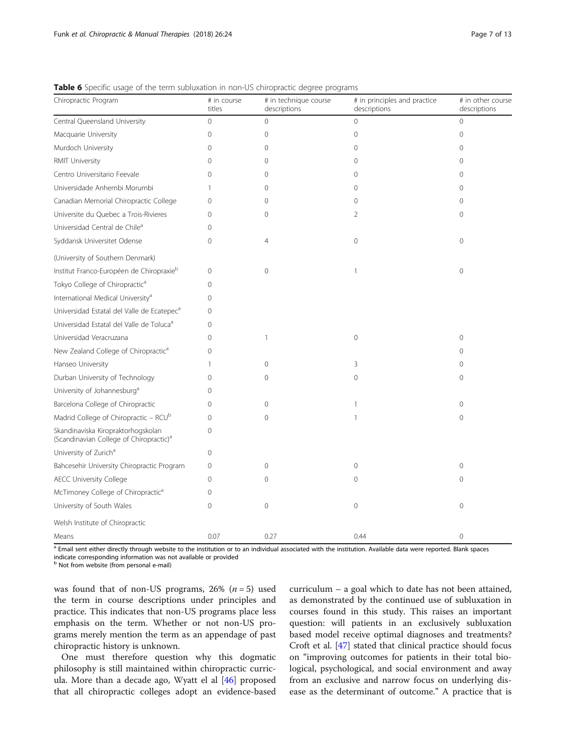| Chiropractic Program                                                                      | # in course<br>titles | # in technique course<br>descriptions | # in principles and practice<br>descriptions | # in other course<br>descriptions |  |
|-------------------------------------------------------------------------------------------|-----------------------|---------------------------------------|----------------------------------------------|-----------------------------------|--|
| Central Queensland University                                                             | $\overline{O}$        | $\overline{0}$                        | $\mathbf{0}$                                 | 0                                 |  |
| Macquarie University                                                                      | 0                     | $\mathbf{0}$                          | $\mathbf{0}$                                 | 0                                 |  |
| Murdoch University                                                                        | $\Omega$              | $\Omega$                              | $\mathbf{0}$                                 | 0                                 |  |
| <b>RMIT University</b>                                                                    | 0                     | $\Omega$                              | $\Omega$                                     | O                                 |  |
| Centro Universitario Feevale                                                              | $\Omega$              | $\Omega$                              | $\mathbf{0}$                                 | 0                                 |  |
| Universidade Anhembi Morumbi                                                              | 1                     | $\Omega$                              | $\mathbf{0}$                                 | 0                                 |  |
| Canadian Memorial Chiropractic College                                                    | 0                     | 0                                     | $\mathbf 0$                                  | 0                                 |  |
| Universite du Quebec a Trois-Rivieres                                                     | $\Omega$              | $\mathbf{0}$                          | 2                                            | 0                                 |  |
| Universidad Central de Chile <sup>a</sup>                                                 | $\Omega$              |                                       |                                              |                                   |  |
| Syddansk Universitet Odense                                                               | $\Omega$              | $\overline{4}$                        | $\mathbf 0$                                  | 0                                 |  |
| (University of Southern Denmark)                                                          |                       |                                       |                                              |                                   |  |
| Institut Franco-Européen de Chiropraxie <sup>b</sup>                                      | $\mathbf 0$           | $\mathbf{0}$                          | $\overline{1}$                               | 0                                 |  |
| Tokyo College of Chiropractic <sup>a</sup>                                                | $\Omega$              |                                       |                                              |                                   |  |
| International Medical University <sup>a</sup>                                             | 0                     |                                       |                                              |                                   |  |
| Universidad Estatal del Valle de Ecatepec <sup>a</sup>                                    | $\Omega$              |                                       |                                              |                                   |  |
| Universidad Estatal del Valle de Toluca <sup>a</sup>                                      | $\Omega$              |                                       |                                              |                                   |  |
| Universidad Veracruzana                                                                   | $\Omega$              | $\overline{1}$                        | $\mathbf 0$                                  | 0                                 |  |
| New Zealand College of Chiropractic <sup>a</sup>                                          | $\Omega$              |                                       |                                              | $\Omega$                          |  |
| Hanseo University                                                                         | 1                     | $\mathbf{0}$                          | $\mathsf 3$                                  | 0                                 |  |
| Durban University of Technology                                                           | $\Omega$              | $\mathbf{0}$                          | $\mathbf{0}$                                 | 0                                 |  |
| University of Johannesburg <sup>a</sup>                                                   | $\Omega$              |                                       |                                              |                                   |  |
| Barcelona College of Chiropractic                                                         | 0                     | $\mathbf{0}$                          | 1                                            | 0                                 |  |
| Madrid College of Chiropractic - RCU <sup>b</sup>                                         | $\Omega$              | $\Omega$                              | 1                                            | 0                                 |  |
| Skandinaviska Kiropraktorhogskolan<br>(Scandinavian College of Chiropractic) <sup>a</sup> | $\Omega$              |                                       |                                              |                                   |  |
| University of Zurich <sup>a</sup>                                                         | $\Omega$              |                                       |                                              |                                   |  |
| Bahcesehir University Chiropractic Program                                                | $\mathbf{0}$          | $\mathbf{0}$                          | $\mathbf 0$                                  | 0                                 |  |
| <b>AECC University College</b>                                                            | $\mathbf 0$           | 0                                     | $\mathbf{0}$                                 | 0                                 |  |
| McTimoney College of Chiropractic <sup>a</sup>                                            | $\Omega$              |                                       |                                              |                                   |  |
| University of South Wales                                                                 | $\Omega$              | $\mathbf 0$                           | $\mathbf 0$                                  | $\mathbf 0$                       |  |
| Welsh Institute of Chiropractic                                                           |                       |                                       |                                              |                                   |  |
| Means                                                                                     | 0.07                  | 0.27                                  | 0.44                                         | 0                                 |  |

<span id="page-6-0"></span>Table 6 Specific usage of the term subluxation in non-US chiropractic degree programs

<sup>a</sup> Email sent either directly through website to the institution or to an individual associated with the institution. Available data were reported. Blank spaces indicate corresponding information was not available or provided

b Not from website (from personal e-mail)

was found that of non-US programs,  $26\%$  ( $n = 5$ ) used the term in course descriptions under principles and practice. This indicates that non-US programs place less emphasis on the term. Whether or not non-US programs merely mention the term as an appendage of past chiropractic history is unknown.

One must therefore question why this dogmatic philosophy is still maintained within chiropractic curricula. More than a decade ago, Wyatt el al [\[46\]](#page-11-0) proposed that all chiropractic colleges adopt an evidence-based curriculum – a goal which to date has not been attained, as demonstrated by the continued use of subluxation in courses found in this study. This raises an important question: will patients in an exclusively subluxation based model receive optimal diagnoses and treatments? Croft et al. [[47\]](#page-11-0) stated that clinical practice should focus on "improving outcomes for patients in their total biological, psychological, and social environment and away from an exclusive and narrow focus on underlying disease as the determinant of outcome." A practice that is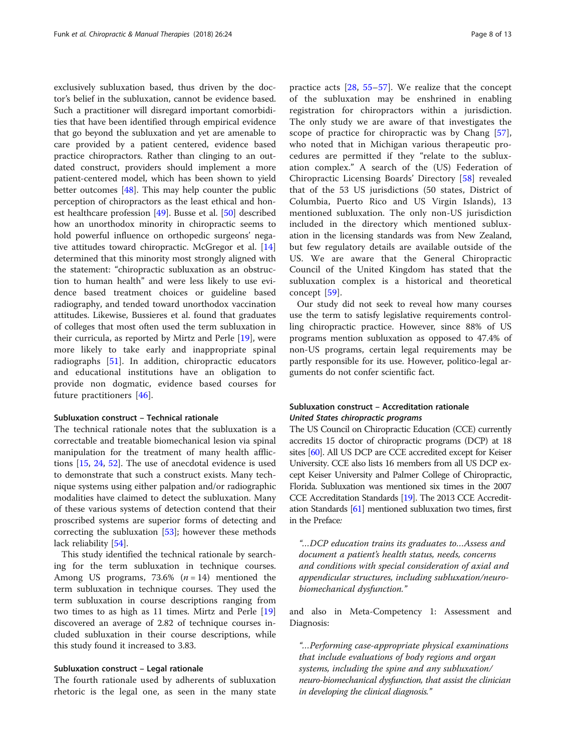exclusively subluxation based, thus driven by the doctor's belief in the subluxation, cannot be evidence based. Such a practitioner will disregard important comorbidities that have been identified through empirical evidence that go beyond the subluxation and yet are amenable to care provided by a patient centered, evidence based practice chiropractors. Rather than clinging to an outdated construct, providers should implement a more patient-centered model, which has been shown to yield better outcomes [[48\]](#page-11-0). This may help counter the public perception of chiropractors as the least ethical and honest healthcare profession [[49\]](#page-11-0). Busse et al. [[50](#page-11-0)] described how an unorthodox minority in chiropractic seems to hold powerful influence on orthopedic surgeons' negative attitudes toward chiropractic. McGregor et al. [[14](#page-10-0)] determined that this minority most strongly aligned with the statement: "chiropractic subluxation as an obstruction to human health" and were less likely to use evidence based treatment choices or guideline based radiography, and tended toward unorthodox vaccination attitudes. Likewise, Bussieres et al. found that graduates of colleges that most often used the term subluxation in their curricula, as reported by Mirtz and Perle [\[19\]](#page-10-0), were more likely to take early and inappropriate spinal radiographs [\[51](#page-11-0)]. In addition, chiropractic educators and educational institutions have an obligation to provide non dogmatic, evidence based courses for future practitioners [[46\]](#page-11-0).

#### Subluxation construct – Technical rationale

The technical rationale notes that the subluxation is a correctable and treatable biomechanical lesion via spinal manipulation for the treatment of many health afflictions [\[15](#page-10-0), [24,](#page-11-0) [52\]](#page-11-0). The use of anecdotal evidence is used to demonstrate that such a construct exists. Many technique systems using either palpation and/or radiographic modalities have claimed to detect the subluxation. Many of these various systems of detection contend that their proscribed systems are superior forms of detecting and correcting the subluxation  $[53]$  $[53]$ ; however these methods lack reliability [[54\]](#page-11-0).

This study identified the technical rationale by searching for the term subluxation in technique courses. Among US programs, 73.6%  $(n = 14)$  mentioned the term subluxation in technique courses. They used the term subluxation in course descriptions ranging from two times to as high as 11 times. Mirtz and Perle [[19](#page-10-0)] discovered an average of 2.82 of technique courses included subluxation in their course descriptions, while this study found it increased to 3.83.

#### Subluxation construct – Legal rationale

The fourth rationale used by adherents of subluxation rhetoric is the legal one, as seen in the many state

practice acts [[28,](#page-11-0) [55](#page-11-0)–[57](#page-11-0)]. We realize that the concept of the subluxation may be enshrined in enabling registration for chiropractors within a jurisdiction. The only study we are aware of that investigates the scope of practice for chiropractic was by Chang [\[57](#page-11-0)], who noted that in Michigan various therapeutic procedures are permitted if they "relate to the subluxation complex." A search of the (US) Federation of Chiropractic Licensing Boards' Directory [[58\]](#page-11-0) revealed that of the 53 US jurisdictions (50 states, District of Columbia, Puerto Rico and US Virgin Islands), 13 mentioned subluxation. The only non-US jurisdiction included in the directory which mentioned subluxation in the licensing standards was from New Zealand, but few regulatory details are available outside of the US. We are aware that the General Chiropractic Council of the United Kingdom has stated that the subluxation complex is a historical and theoretical concept [[59\]](#page-11-0).

Our study did not seek to reveal how many courses use the term to satisfy legislative requirements controlling chiropractic practice. However, since 88% of US programs mention subluxation as opposed to 47.4% of non-US programs, certain legal requirements may be partly responsible for its use. However, politico-legal arguments do not confer scientific fact.

### Subluxation construct – Accreditation rationale United States chiropractic programs

The US Council on Chiropractic Education (CCE) currently accredits 15 doctor of chiropractic programs (DCP) at 18 sites [\[60](#page-11-0)]. All US DCP are CCE accredited except for Keiser University. CCE also lists 16 members from all US DCP except Keiser University and Palmer College of Chiropractic, Florida. Subluxation was mentioned six times in the 2007 CCE Accreditation Standards [[19](#page-10-0)]. The 2013 CCE Accreditation Standards [[61\]](#page-11-0) mentioned subluxation two times, first in the Preface:

"…DCP education trains its graduates to…Assess and document a patient's health status, needs, concerns and conditions with special consideration of axial and appendicular structures, including subluxation/neurobiomechanical dysfunction."

and also in Meta-Competency 1: Assessment and Diagnosis:

"…Performing case-appropriate physical examinations that include evaluations of body regions and organ systems, including the spine and any subluxation/ neuro-biomechanical dysfunction, that assist the clinician in developing the clinical diagnosis."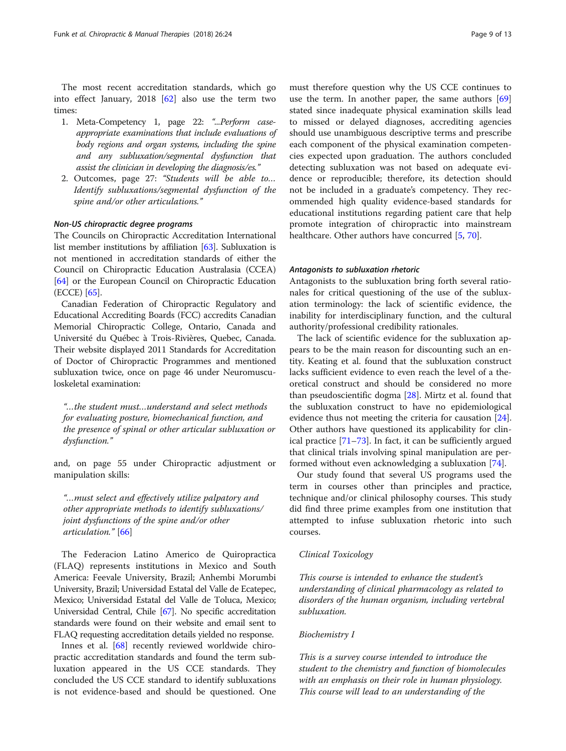The most recent accreditation standards, which go into effect January, 2018 [[62\]](#page-11-0) also use the term two times:

- 1. Meta-Competency 1, page 22: "...Perform caseappropriate examinations that include evaluations of body regions and organ systems, including the spine and any subluxation/segmental dysfunction that assist the clinician in developing the diagnosis/es."
- 2. Outcomes, page 27: "Students will be able to… Identify subluxations/segmental dysfunction of the spine and/or other articulations."

#### Non-US chiropractic degree programs

The Councils on Chiropractic Accreditation International list member institutions by affiliation [[63](#page-11-0)]. Subluxation is not mentioned in accreditation standards of either the Council on Chiropractic Education Australasia (CCEA) [[64](#page-11-0)] or the European Council on Chiropractic Education (ECCE) [[65](#page-11-0)].

Canadian Federation of Chiropractic Regulatory and Educational Accrediting Boards (FCC) accredits Canadian Memorial Chiropractic College, Ontario, Canada and Université du Québec à Trois-Rivières, Quebec, Canada. Their website displayed 2011 Standards for Accreditation of Doctor of Chiropractic Programmes and mentioned subluxation twice, once on page 46 under Neuromusculoskeletal examination:

"…the student must…understand and select methods for evaluating posture, biomechanical function, and the presence of spinal or other articular subluxation or dysfunction."

and, on page 55 under Chiropractic adjustment or manipulation skills:

"…must select and effectively utilize palpatory and other appropriate methods to identify subluxations/ joint dysfunctions of the spine and/or other articulation." [\[66](#page-11-0)]

The Federacion Latino Americo de Quiropractica (FLAQ) represents institutions in Mexico and South America: Feevale University, Brazil; Anhembi Morumbi University, Brazil; Universidad Estatal del Valle de Ecatepec, Mexico; Universidad Estatal del Valle de Toluca, Mexico; Universidad Central, Chile [\[67\]](#page-11-0). No specific accreditation standards were found on their website and email sent to FLAQ requesting accreditation details yielded no response.

Innes et al. [[68\]](#page-11-0) recently reviewed worldwide chiropractic accreditation standards and found the term subluxation appeared in the US CCE standards. They concluded the US CCE standard to identify subluxations is not evidence-based and should be questioned. One

must therefore question why the US CCE continues to use the term. In another paper, the same authors [[69](#page-11-0)] stated since inadequate physical examination skills lead to missed or delayed diagnoses, accrediting agencies should use unambiguous descriptive terms and prescribe each component of the physical examination competencies expected upon graduation. The authors concluded detecting subluxation was not based on adequate evidence or reproducible; therefore, its detection should not be included in a graduate's competency. They recommended high quality evidence-based standards for educational institutions regarding patient care that help

#### Antagonists to subluxation rhetoric

Antagonists to the subluxation bring forth several rationales for critical questioning of the use of the subluxation terminology: the lack of scientific evidence, the inability for interdisciplinary function, and the cultural authority/professional credibility rationales.

promote integration of chiropractic into mainstream healthcare. Other authors have concurred [[5,](#page-10-0) [70\]](#page-11-0).

The lack of scientific evidence for the subluxation appears to be the main reason for discounting such an entity. Keating et al. found that the subluxation construct lacks sufficient evidence to even reach the level of a theoretical construct and should be considered no more than pseudoscientific dogma [\[28](#page-11-0)]. Mirtz et al. found that the subluxation construct to have no epidemiological evidence thus not meeting the criteria for causation [\[24](#page-11-0)]. Other authors have questioned its applicability for clinical practice [[71](#page-11-0)–[73](#page-12-0)]. In fact, it can be sufficiently argued that clinical trials involving spinal manipulation are performed without even acknowledging a subluxation [[74\]](#page-12-0).

Our study found that several US programs used the term in courses other than principles and practice, technique and/or clinical philosophy courses. This study did find three prime examples from one institution that attempted to infuse subluxation rhetoric into such courses.

#### Clinical Toxicology

This course is intended to enhance the student's understanding of clinical pharmacology as related to disorders of the human organism, including vertebral subluxation.

#### Biochemistry I

This is a survey course intended to introduce the student to the chemistry and function of biomolecules with an emphasis on their role in human physiology. This course will lead to an understanding of the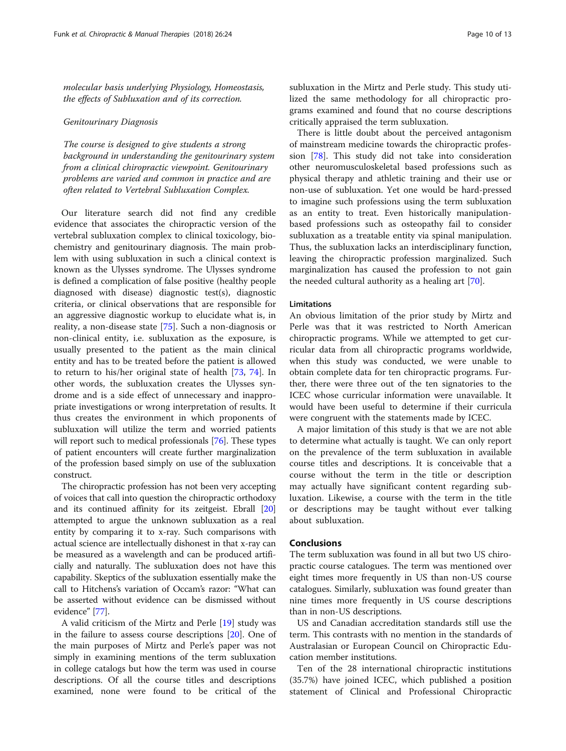molecular basis underlying Physiology, Homeostasis, the effects of Subluxation and of its correction.

#### Genitourinary Diagnosis

The course is designed to give students a strong background in understanding the genitourinary system from a clinical chiropractic viewpoint. Genitourinary problems are varied and common in practice and are often related to Vertebral Subluxation Complex.

Our literature search did not find any credible evidence that associates the chiropractic version of the vertebral subluxation complex to clinical toxicology, biochemistry and genitourinary diagnosis. The main problem with using subluxation in such a clinical context is known as the Ulysses syndrome. The Ulysses syndrome is defined a complication of false positive (healthy people diagnosed with disease) diagnostic test(s), diagnostic criteria, or clinical observations that are responsible for an aggressive diagnostic workup to elucidate what is, in reality, a non-disease state [[75\]](#page-12-0). Such a non-diagnosis or non-clinical entity, i.e. subluxation as the exposure, is usually presented to the patient as the main clinical entity and has to be treated before the patient is allowed to return to his/her original state of health [[73](#page-12-0), [74](#page-12-0)]. In other words, the subluxation creates the Ulysses syndrome and is a side effect of unnecessary and inappropriate investigations or wrong interpretation of results. It thus creates the environment in which proponents of subluxation will utilize the term and worried patients will report such to medical professionals [\[76](#page-12-0)]. These types of patient encounters will create further marginalization of the profession based simply on use of the subluxation construct.

The chiropractic profession has not been very accepting of voices that call into question the chiropractic orthodoxy and its continued affinity for its zeitgeist. Ebrall [[20](#page-11-0)] attempted to argue the unknown subluxation as a real entity by comparing it to x-ray. Such comparisons with actual science are intellectually dishonest in that x-ray can be measured as a wavelength and can be produced artificially and naturally. The subluxation does not have this capability. Skeptics of the subluxation essentially make the call to Hitchens's variation of Occam's razor: "What can be asserted without evidence can be dismissed without evidence" [[77](#page-12-0)].

A valid criticism of the Mirtz and Perle [\[19\]](#page-10-0) study was in the failure to assess course descriptions [\[20\]](#page-11-0). One of the main purposes of Mirtz and Perle's paper was not simply in examining mentions of the term subluxation in college catalogs but how the term was used in course descriptions. Of all the course titles and descriptions examined, none were found to be critical of the

subluxation in the Mirtz and Perle study. This study utilized the same methodology for all chiropractic programs examined and found that no course descriptions critically appraised the term subluxation.

There is little doubt about the perceived antagonism of mainstream medicine towards the chiropractic profession [\[78](#page-12-0)]. This study did not take into consideration other neuromusculoskeletal based professions such as physical therapy and athletic training and their use or non-use of subluxation. Yet one would be hard-pressed to imagine such professions using the term subluxation as an entity to treat. Even historically manipulationbased professions such as osteopathy fail to consider subluxation as a treatable entity via spinal manipulation. Thus, the subluxation lacks an interdisciplinary function, leaving the chiropractic profession marginalized. Such marginalization has caused the profession to not gain the needed cultural authority as a healing art [\[70\]](#page-11-0).

#### Limitations

An obvious limitation of the prior study by Mirtz and Perle was that it was restricted to North American chiropractic programs. While we attempted to get curricular data from all chiropractic programs worldwide, when this study was conducted, we were unable to obtain complete data for ten chiropractic programs. Further, there were three out of the ten signatories to the ICEC whose curricular information were unavailable. It would have been useful to determine if their curricula were congruent with the statements made by ICEC.

A major limitation of this study is that we are not able to determine what actually is taught. We can only report on the prevalence of the term subluxation in available course titles and descriptions. It is conceivable that a course without the term in the title or description may actually have significant content regarding subluxation. Likewise, a course with the term in the title or descriptions may be taught without ever talking about subluxation.

#### **Conclusions**

The term subluxation was found in all but two US chiropractic course catalogues. The term was mentioned over eight times more frequently in US than non-US course catalogues. Similarly, subluxation was found greater than nine times more frequently in US course descriptions than in non-US descriptions.

US and Canadian accreditation standards still use the term. This contrasts with no mention in the standards of Australasian or European Council on Chiropractic Education member institutions.

Ten of the 28 international chiropractic institutions (35.7%) have joined ICEC, which published a position statement of Clinical and Professional Chiropractic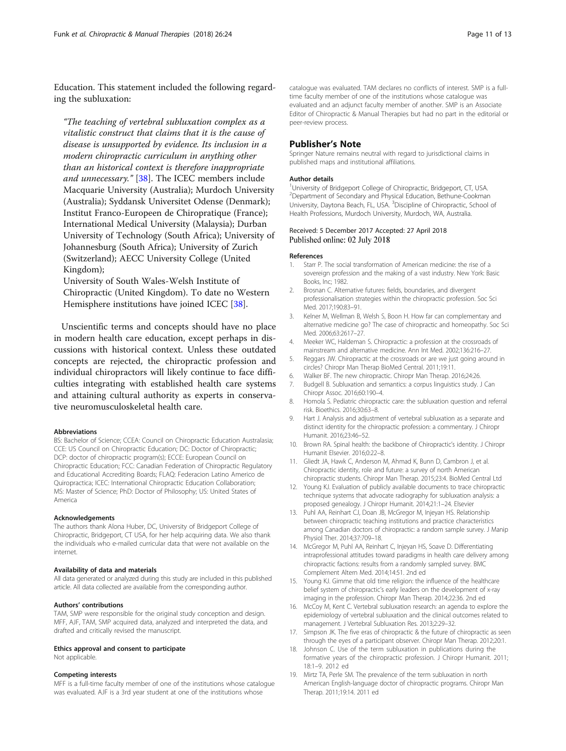<span id="page-10-0"></span>Education. This statement included the following regarding the subluxation:

"The teaching of vertebral subluxation complex as a vitalistic construct that claims that it is the cause of disease is unsupported by evidence. Its inclusion in a modern chiropractic curriculum in anything other than an historical context is therefore inappropriate and unnecessary." [[38\]](#page-11-0). The ICEC members include Macquarie University (Australia); Murdoch University (Australia); Syddansk Universitet Odense (Denmark); Institut Franco-Europeen de Chiropratique (France); International Medical University (Malaysia); Durban University of Technology (South Africa); University of Johannesburg (South Africa); University of Zurich (Switzerland); AECC University College (United Kingdom);

University of South Wales-Welsh Institute of Chiropractic (United Kingdom). To date no Western Hemisphere institutions have joined ICEC [[38\]](#page-11-0).

Unscientific terms and concepts should have no place in modern health care education, except perhaps in discussions with historical context. Unless these outdated concepts are rejected, the chiropractic profession and individual chiropractors will likely continue to face difficulties integrating with established health care systems and attaining cultural authority as experts in conservative neuromusculoskeletal health care.

#### Abbreviations

BS: Bachelor of Science; CCEA: Council on Chiropractic Education Australasia; CCE: US Council on Chiropractic Education; DC: Doctor of Chiropractic; DCP: doctor of chiropractic program(s); ECCE: European Council on Chiropractic Education; FCC: Canadian Federation of Chiropractic Regulatory and Educational Accrediting Boards; FLAQ: Federacion Latino Americo de Quiropractica; ICEC: International Chiropractic Education Collaboration; MS: Master of Science; PhD: Doctor of Philosophy; US: United States of America

#### Acknowledgements

The authors thank Alona Huber, DC, University of Bridgeport College of Chiropractic, Bridgeport, CT USA, for her help acquiring data. We also thank the individuals who e-mailed curricular data that were not available on the internet.

#### Availability of data and materials

All data generated or analyzed during this study are included in this published article. All data collected are available from the corresponding author.

#### Authors' contributions

TAM, SMP were responsible for the original study conception and design. MFF, AJF, TAM, SMP acquired data, analyzed and interpreted the data, and drafted and critically revised the manuscript.

#### Ethics approval and consent to participate

Not applicable.

#### Competing interests

MFF is a full-time faculty member of one of the institutions whose catalogue was evaluated. AJF is a 3rd year student at one of the institutions whose

catalogue was evaluated. TAM declares no conflicts of interest. SMP is a fulltime faculty member of one of the institutions whose catalogue was evaluated and an adjunct faculty member of another. SMP is an Associate Editor of Chiropractic & Manual Therapies but had no part in the editorial or peer-review process.

#### Publisher's Note

Springer Nature remains neutral with regard to jurisdictional claims in published maps and institutional affiliations.

#### Author details

<sup>1</sup>University of Bridgeport College of Chiropractic, Bridgeport, CT, USA 2 Department of Secondary and Physical Education, Bethune-Cookman University, Daytona Beach, FL, USA. <sup>3</sup>Discipline of Chiropractic, School of Health Professions, Murdoch University, Murdoch, WA, Australia.

#### Received: 5 December 2017 Accepted: 27 April 2018 Published online: 02 July 2018

#### References

- Starr P. The social transformation of American medicine: the rise of a sovereign profession and the making of a vast industry. New York: Basic Books, Inc; 1982.
- 2. Brosnan C. Alternative futures: fields, boundaries, and divergent professionalisation strategies within the chiropractic profession. Soc Sci Med. 2017;190:83–91.
- 3. Kelner M, Wellman B, Welsh S, Boon H. How far can complementary and alternative medicine go? The case of chiropractic and homeopathy. Soc Sci Med. 2006;63:2617–27.
- 4. Meeker WC, Haldeman S. Chiropractic: a profession at the crossroads of mainstream and alternative medicine. Ann Int Med. 2002;136:216–27.
- 5. Reggars JW. Chiropractic at the crossroads or are we just going around in circles? Chiropr Man Therap BioMed Central. 2011;19:11.
- 6. Walker BF. The new chiropractic. Chiropr Man Therap. 2016;24:26.
- 7. Budgell B. Subluxation and semantics: a corpus linguistics study. J Can Chiropr Assoc. 2016;60:190–4.
- 8. Homola S. Pediatric chiropractic care: the subluxation question and referral risk. Bioethics. 2016;30:63–8.
- 9. Hart J. Analysis and adjustment of vertebral subluxation as a separate and distinct identity for the chiropractic profession: a commentary. J Chiropr Humanit. 2016;23:46–52.
- 10. Brown RA. Spinal health: the backbone of Chiropractic's identity. J Chiropr Humanit Elsevier. 2016;0:22–8.
- 11. Gliedt JA, Hawk C, Anderson M, Ahmad K, Bunn D, Cambron J, et al. Chiropractic identity, role and future: a survey of north American chiropractic students. Chiropr Man Therap. 2015;23:4. BioMed Central Ltd
- 12. Young KJ. Evaluation of publicly available documents to trace chiropractic technique systems that advocate radiography for subluxation analysis: a proposed genealogy. J Chiropr Humanit. 2014;21:1–24. Elsevier
- 13. Puhl AA, Reinhart CJ, Doan JB, McGregor M, Injeyan HS. Relationship between chiropractic teaching institutions and practice characteristics among Canadian doctors of chiropractic: a random sample survey. J Manip Physiol Ther. 2014;37:709–18.
- 14. McGregor M, Puhl AA, Reinhart C, Injeyan HS, Soave D. Differentiating intraprofessional attitudes toward paradigms in health care delivery among chiropractic factions: results from a randomly sampled survey. BMC Complement Altern Med. 2014;14:51. 2nd ed
- 15. Young KJ. Gimme that old time religion: the influence of the healthcare belief system of chiropractic's early leaders on the development of x-ray imaging in the profession. Chiropr Man Therap. 2014;22:36. 2nd ed
- 16. McCoy M, Kent C. Vertebral subluxation research: an agenda to explore the epidemiology of vertebral subluxation and the clinical outcomes related to management. J Vertebral Subluxation Res. 2013;2:29–32.
- 17. Simpson JK. The five eras of chiropractic & the future of chiropractic as seen through the eyes of a participant observer. Chiropr Man Therap. 2012;20:1.
- 18. Johnson C. Use of the term subluxation in publications during the formative years of the chiropractic profession. J Chiropr Humanit. 2011; 18:1–9. 2012 ed
- 19. Mirtz TA, Perle SM. The prevalence of the term subluxation in north American English-language doctor of chiropractic programs. Chiropr Man Therap. 2011;19:14. 2011 ed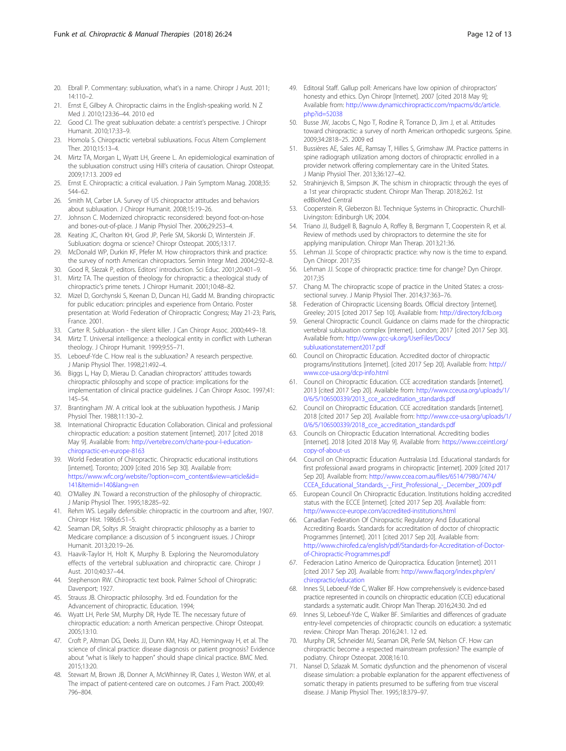- <span id="page-11-0"></span>20. Ebrall P. Commentary: subluxation, what's in a name. Chiropr J Aust. 2011; 14:110–2.
- 21. Ernst E, Gilbey A. Chiropractic claims in the English-speaking world. N Z Med J. 2010;123:36–44. 2010 ed
- 22. Good CJ. The great subluxation debate: a centrist's perspective. J Chiropr Humanit. 2010;17:33–9.
- 23. Homola S. Chiropractic vertebral subluxations. Focus Altern Complement Ther. 2010;15:13–4.
- 24. Mirtz TA, Morgan L, Wyatt LH, Greene L. An epidemiological examination of the subluxation construct using Hill's criteria of causation. Chiropr Osteopat. 2009;17:13. 2009 ed
- 25. Ernst E. Chiropractic: a critical evaluation. J Pain Symptom Manag. 2008;35: 544–62.
- 26. Smith M, Carber LA. Survey of US chiropractor attitudes and behaviors about subluxation. J Chiropr Humanit. 2008;15:19–26.
- 27. Johnson C. Modernized chiropractic reconsidered: beyond foot-on-hose and bones-out-of-place. J Manip Physiol Ther. 2006;29:253–4.
- 28. Keating JC, Charlton KH, Grod JP, Perle SM, Sikorski D, Winterstein JF. Subluxation: dogma or science? Chiropr Osteopat. 2005;13:17.
- 29. McDonald WP, Durkin KF, Pfefer M. How chiropractors think and practice: the survey of north American chiropractors. Semin Integr Med. 2004;2:92–8.
- 30. Good R, Slezak P, editors. Editors' introduction. Sci Educ. 2001;20:401–9. 31. Mirtz TA. The question of theology for chiropractic: a theological study of chiropractic's prime tenets. J Chiropr Humanit. 2001;10:48–82.
- 32. Mizel D, Gorchynski S, Keenan D, Duncan HJ, Gadd M. Branding chiropractic for public education: principles and experience from Ontario. Poster presentation at: World Federation of Chiropractic Congress; May 21-23; Paris, France. 2001.
- 33. Carter R. Subluxation the silent killer. J Can Chiropr Assoc. 2000;44:9–18.
- 34. Mirtz T. Universal intelligence: a theological entity in conflict with Lutheran theology. J Chiropr Humanit. 1999;9:55–71.
- 35. Leboeuf-Yde C. How real is the subluxation? A research perspective. J Manip Physiol Ther. 1998;21:492–4.
- 36. Biggs L, Hay D, Mierau D. Canadian chiropractors' attitudes towards chiropractic philosophy and scope of practice: implications for the implementation of clinical practice guidelines. J Can Chiropr Assoc. 1997;41: 145–54.
- 37. Brantingham JW. A critical look at the subluxation hypothesis. J Manip Physiol Ther. 1988;11:130–2.
- International Chiropractic Education Collaboration. Clinical and professional chiropractic education: a position statement [internet]. 2017 [cited 2018 May 9]. Available from: [http://vertebre.com/charte-pour-l-education](http://vertebre.com/charte-pour-l-education-chiropractic-en-europe-8163)[chiropractic-en-europe-8163](http://vertebre.com/charte-pour-l-education-chiropractic-en-europe-8163)
- 39. World Federation of Chiropractic. Chiropractic educational institutions [internet]. Toronto; 2009 [cited 2016 Sep 30]. Available from: [https://www.wfc.org/website/?option=com\\_content&view=article&id=](https://www.wfc.org/website/?option=com_content&view=article&id=141&Itemid=140&lang=en) [141&Itemid=140&lang=en](https://www.wfc.org/website/?option=com_content&view=article&id=141&Itemid=140&lang=en)
- 40. O'Malley JN. Toward a reconstruction of the philosophy of chiropractic. J Manip Physiol Ther. 1995;18:285–92.
- 41. Rehm WS. Legally defensible: chiropractic in the courtroom and after, 1907. Chiropr Hist. 1986;6:51–5.
- 42. Seaman DR, Soltys JR. Straight chiropractic philosophy as a barrier to Medicare compliance: a discussion of 5 incongruent issues. J Chiropr Humanit. 2013;20:19–26.
- 43. Haavik-Taylor H, Holt K, Murphy B. Exploring the Neuromodulatory effects of the vertebral subluxation and chiropractic care. Chiropr J Aust. 2010;40:37–44.
- 44. Stephenson RW. Chiropractic text book. Palmer School of Chiropratic: Davenport: 1927.
- 45. Strauss JB. Chiropractic philosophy. 3rd ed. Foundation for the Advancement of chiropractic. Education. 1994;
- 46. Wyatt LH, Perle SM, Murphy DR, Hyde TE. The necessary future of chiropractic education: a north American perspective. Chiropr Osteopat. 2005;13:10.
- 47. Croft P, Altman DG, Deeks JJ, Dunn KM, Hay AD, Hemingway H, et al. The science of clinical practice: disease diagnosis or patient prognosis? Evidence about "what is likely to happen" should shape clinical practice. BMC Med. 2015;13:20.
- 48. Stewart M, Brown JB, Donner A, McWhinney IR, Oates J, Weston WW, et al. The impact of patient-centered care on outcomes. J Fam Pract. 2000;49: 796–804.
- 49. Editoral Staff. Gallup poll: Americans have low opinion of chiropractors' honesty and ethics. Dyn Chiropr [Internet]. 2007 [cited 2018 May 9]; Available from: [http://www.dynamicchiropractic.com/mpacms/dc/article.](http://www.dynamicchiropractic.com/mpacms/dc/article.php?id=52038) [php?id=52038](http://www.dynamicchiropractic.com/mpacms/dc/article.php?id=52038)
- 50. Busse JW, Jacobs C, Ngo T, Rodine R, Torrance D, Jim J, et al. Attitudes toward chiropractic: a survey of north American orthopedic surgeons. Spine. 2009;34:2818–25. 2009 ed
- 51. Bussières AE, Sales AE, Ramsay T, Hilles S, Grimshaw JM. Practice patterns in spine radiograph utilization among doctors of chiropractic enrolled in a provider network offering complementary care in the United States. J Manip Physiol Ther. 2013;36:127–42.
- 52. Strahinjevich B, Simpson JK. The schism in chiropractic through the eyes of a 1st year chiropractic student. Chiropr Man Therap. 2018;26:2. 1st edBioMed Central
- 53. Cooperstein R, Gleberzon BJ. Technique Systems in Chiropractic. Churchill-Livingston: Edinburgh UK; 2004.
- 54. Triano JJ, Budgell B, Bagnulo A, Roffey B, Bergmann T, Cooperstein R, et al. Review of methods used by chiropractors to determine the site for applying manipulation. Chiropr Man Therap. 2013;21:36.
- 55. Lehman JJ. Scope of chiropractic practice: why now is the time to expand. Dyn Chiropr. 2017;35
- 56. Lehman JJ. Scope of chiropractic practice: time for change? Dyn Chiropr. 2017;35
- 57. Chang M. The chiropractic scope of practice in the United States: a crosssectional survey. J Manip Physiol Ther. 2014;37:363–76.
- 58. Federation of Chiropractic Licensing Boards. Official directory [internet]. Greeley; 2015 [cited 2017 Sep 10]. Available from: <http://directory.fclb.org>
- 59. General Chiropractic Council. Guidance on claims made for the chiropractic vertebral subluxation complex [internet]. London; 2017 [cited 2017 Sep 30]. Available from: [http://www.gcc-uk.org/UserFiles/Docs/](http://www.gcc-uk.org/UserFiles/Docs/subluxationstatement2017.pdf) [subluxationstatement2017.pdf](http://www.gcc-uk.org/UserFiles/Docs/subluxationstatement2017.pdf)
- 60. Council on Chiropractic Education. Accredited doctor of chiropractic programs/institutions [internet]. [cited 2017 Sep 20]. Available from: [http://](http://www.cce-usa.org/dcp-info.html) [www.cce-usa.org/dcp-info.html](http://www.cce-usa.org/dcp-info.html)
- 61. Council on Chiropractic Education. CCE accreditation standards [internet]. 2013 [cited 2017 Sep 20]. Available from: [http://www.cceusa.org/uploads/1/](http://www.cceusa.org/uploads/1/0/6/5/106500339/2013_cce_accreditation_standards.pdf) [0/6/5/106500339/2013\\_cce\\_accreditation\\_standards.pdf](http://www.cceusa.org/uploads/1/0/6/5/106500339/2013_cce_accreditation_standards.pdf)
- 62. Council on Chiropractic Education. CCE accreditation standards [internet]. 2018 [cited 2017 Sep 20]. Available from: [http://www.cce-usa.org/uploads/1/](http://www.cce-usa.org/uploads/1/0/6/5/106500339/2018_cce_accreditation_standards.pdf) [0/6/5/106500339/2018\\_cce\\_accreditation\\_standards.pdf](http://www.cce-usa.org/uploads/1/0/6/5/106500339/2018_cce_accreditation_standards.pdf)
- 63. Councils on Chiropractic Education International. Accrediting bodies [internet]. 2018 [cited 2018 May 9]. Available from: [https://www.cceintl.org/](https://www.cceintl.org/copy-of-about-us) [copy-of-about-us](https://www.cceintl.org/copy-of-about-us)
- 64. Council on Chiropractic Education Australasia Ltd. Educational standards for first professional award programs in chiropractic [internet]. 2009 [cited 2017 Sep 20]. Available from: [http://www.ccea.com.au/files/6514/7980/7474/](http://www.ccea.com.au/files/6514/7980/7474/CCEA_Educational_Standards_-_First_Professional_-_December_2009.pdf) [CCEA\\_Educational\\_Standards\\_-\\_First\\_Professional\\_-\\_December\\_2009.pdf](http://www.ccea.com.au/files/6514/7980/7474/CCEA_Educational_Standards_-_First_Professional_-_December_2009.pdf)
- 65. European Council On Chiropractic Education. Institutions holding accredited status with the ECCE [internet]. [cited 2017 Sep 20]. Available from: <http://www.cce-europe.com/accredited-institutions.html>
- 66. Canadian Federation Of Chiropractic Regulatory And Educational Accrediting Boards. Standards for accreditation of doctor of chiropractic Programmes [internet]. 2011 [cited 2017 Sep 20]. Available from: [http://www.chirofed.ca/english/pdf/Standards-for-Accreditation-of-Doctor](http://www.chirofed.ca/english/pdf/Standards-for-Accreditation-of-Doctor-of-Chiropractic-Programmes.pdf)[of-Chiropractic-Programmes.pdf](http://www.chirofed.ca/english/pdf/Standards-for-Accreditation-of-Doctor-of-Chiropractic-Programmes.pdf)
- 67. Federacion Latino Americo de Quiropractica. Education [internet]. 2011 [cited 2017 Sep 20]. Available from: [http://www.flaq.org/index.php/en/](http://www.flaq.org/index.php/en/chiropractic/education) [chiropractic/education](http://www.flaq.org/index.php/en/chiropractic/education)
- 68. Innes SI, Leboeuf-Yde C, Walker BF. How comprehensively is evidence-based practice represented in councils on chiropractic education (CCE) educational standards: a systematic audit. Chiropr Man Therap. 2016;24:30. 2nd ed
- 69. Innes SI, Leboeuf-Yde C, Walker BF. Similarities and differences of graduate entry-level competencies of chiropractic councils on education: a systematic review. Chiropr Man Therap. 2016;24:1. 12 ed.
- 70. Murphy DR, Schneider MJ, Seaman DR, Perle SM, Nelson CF. How can chiropractic become a respected mainstream profession? The example of podiatry. Chiropr Osteopat. 2008;16:10.
- 71. Nansel D, Szlazak M. Somatic dysfunction and the phenomenon of visceral disease simulation: a probable explanation for the apparent effectiveness of somatic therapy in patients presumed to be suffering from true visceral disease. J Manip Physiol Ther. 1995;18:379–97.